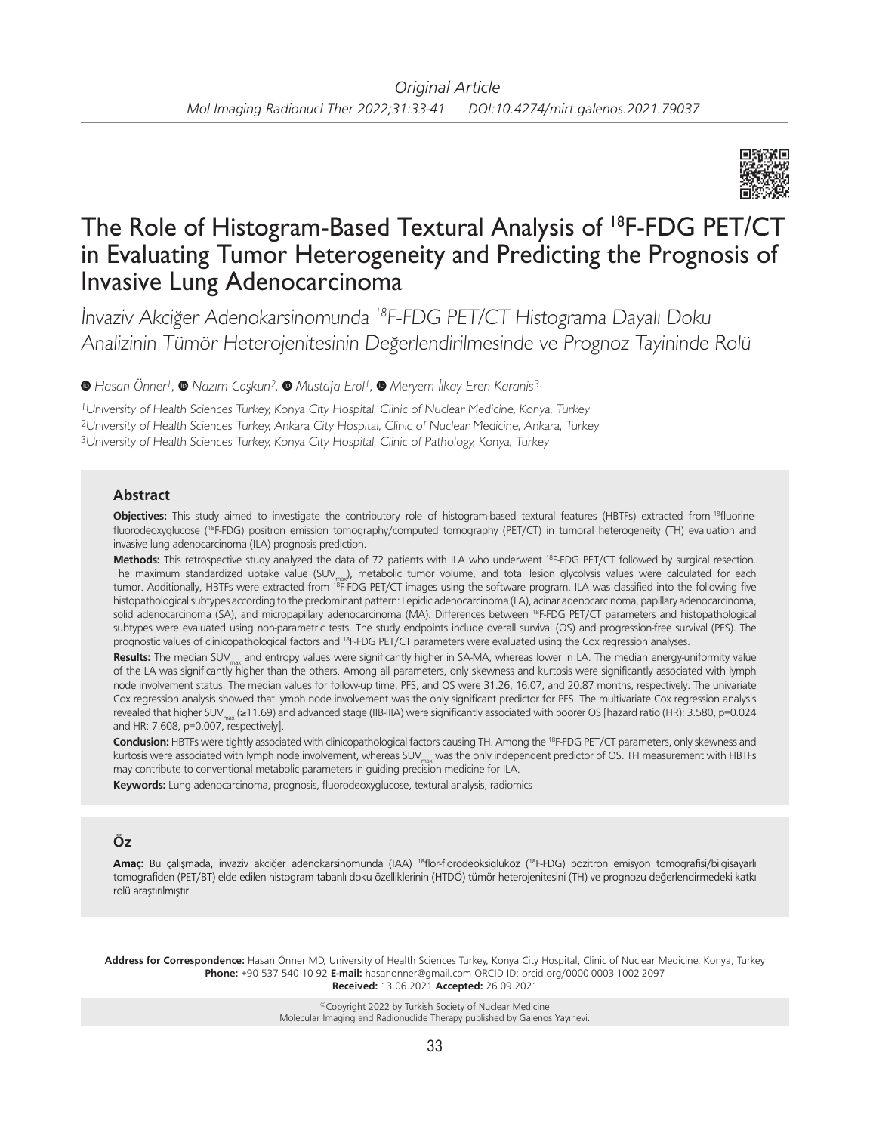

# The Role of Histogram-Based Textural Analysis of 18F-FDG PET/CT in Evaluating Tumor Heterogeneity and Predicting the Prognosis of Invasive Lung Adenocarcinoma

İnvaziv Akciğer Adenokarsinomunda <sup>18</sup>F-FDG PET/CT Histograma Dayalı Doku Analizinin Tümör Heterojenitesinin Değerlendirilmesinde ve Prognoz Tayininde Rolü

*Hasan Önner1,Nazım Coşkun2,Mustafa Erol1, Meryem İlkay Eren Karanis3*

<sup>1</sup>University of Health Sciences Turkey, Konya City Hospital, Clinic of Nuclear Medicine, Konya, Turkey <sup>2</sup>University of Health Sciences Turkey, Ankara City Hospital, Clinic of Nuclear Medicine, Ankara, Turkey 3University of Health Sciences Turkey, Konya City Hospital, Clinic of Pathology, Konya, Turkey

#### **Abstract**

**Objectives:** This study aimed to investigate the contributory role of histogram-based textural features (HBTFs) extracted from 18fluorinefluorodeoxyglucose (<sup>18</sup>F-FDG) positron emission tomography/computed tomography (PET/CT) in tumoral heterogeneity (TH) evaluation and invasive lung adenocarcinoma (ILA) prognosis prediction.

**Methods:** This retrospective study analyzed the data of 72 patients with ILA who underwent 18F-FDG PET/CT followed by surgical resection. The maximum standardized uptake value (SUV<sub>max</sub>), metabolic tumor volume, and total lesion glycolysis values were calculated for each tumor. Additionally, HBTFs were extracted from 18F-FDG PET/CT images using the software program. ILA was classified into the following five histopathological subtypes according to the predominant pattern: Lepidic adenocarcinoma (LA), acinar adenocarcinoma, papillary adenocarcinoma, solid adenocarcinoma (SA), and micropapillary adenocarcinoma (MA). Differences between <sup>18</sup>F-FDG PET/CT parameters and histopathological subtypes were evaluated using non-parametric tests. The study endpoints include overall survival (OS) and progression-free survival (PFS). The prognostic values of clinicopathological factors and <sup>18</sup>F-FDG PET/CT parameters were evaluated using the Cox regression analyses.

Results: The median SUV<sub>max</sub> and entropy values were significantly higher in SA-MA, whereas lower in LA. The median energy-uniformity value of the LA was significantly higher than the others. Among all parameters, only skewness and kurtosis were significantly associated with lymph node involvement status. The median values for follow-up time, PFS, and OS were 31.26, 16.07, and 20.87 months, respectively. The univariate Cox regression analysis showed that lymph node involvement was the only significant predictor for PFS. The multivariate Cox regression analysis revealed that higher SUV<sub>max</sub> (≥11.69) and advanced stage (IIB-IIIA) were significantly associated with poorer OS [hazard ratio (HR): 3.580, p=0.024 and HR: 7.608, p=0.007, respectively].

Conclusion: HBTFs were tightly associated with clinicopathological factors causing TH. Among the <sup>18</sup>F-FDG PET/CT parameters, only skewness and kurtosis were associated with lymph node involvement, whereas SUV<sub>max</sub> was the only independent predictor of OS. TH measurement with HBTFs may contribute to conventional metabolic parameters in guiding precision medicine for ILA.

**Keywords:** Lung adenocarcinoma, prognosis, fluorodeoxyglucose, textural analysis, radiomics

## **Öz**

**Amaç:** Bu çalışmada, invaziv akciğer adenokarsinomunda (IAA) 18flor-florodeoksiglukoz (18F-FDG) pozitron emisyon tomografisi/bilgisayarlı tomografiden (PET/BT) elde edilen histogram tabanlı doku özelliklerinin (HTDÖ) tümör heterojenitesini (TH) ve prognozu değerlendirmedeki katkı rolü araştırılmıştır.

**Address for Correspondence:** Hasan Önner MD, University of Health Sciences Turkey, Konya City Hospital, Clinic of Nuclear Medicine, Konya, Turkey **Phone:** +90 537 540 10 92 **E-mail:** hasanonner@gmail.com ORCID ID: orcid.org/0000-0003-1002-2097 **Received:** 13.06.2021 **Accepted:** 26.09.2021

> ©Copyright 2022 by Turkish Society of Nuclear Medicine Molecular Imaging and Radionuclide Therapy published by Galenos Yayınevi.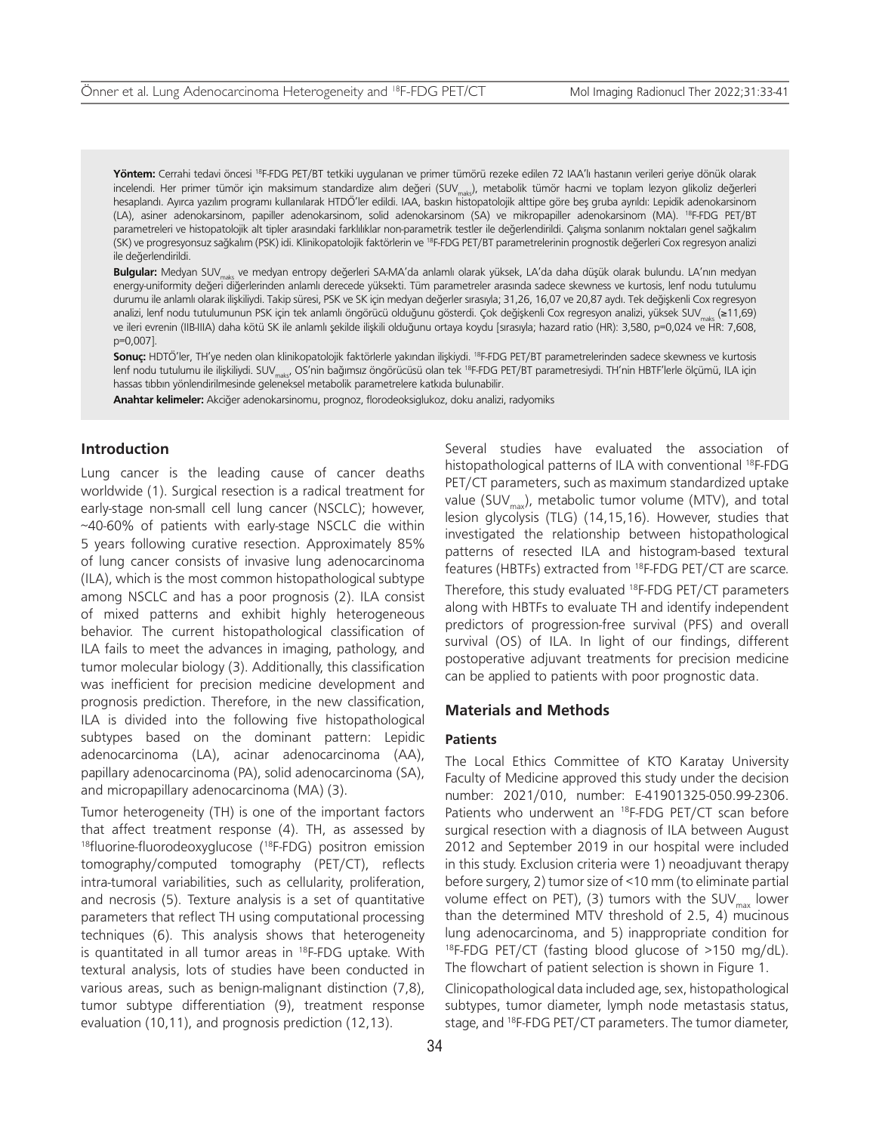Yöntem: Cerrahi tedavi öncesi <sup>18</sup>F-FDG PET/BT tetkiki uygulanan ve primer tümörü rezeke edilen 72 IAA'lı hastanın verileri geriye dönük olarak incelendi. Her primer tümör için maksimum standardize alım değeri (SUV<sub>makr</sub>), metabolik tümör hacmi ve toplam lezyon glikoliz değerleri hesaplandı. Ayırca yazılım programı kullanılarak HTDÖ'ler edildi. IAA, baskın histopatolojik alttipe göre beş gruba ayrıldı: Lepidik adenokarsinom (LA), asiner adenokarsinom, papiller adenokarsinom, solid adenokarsinom (SA) ve mikropapiller adenokarsinom (MA). 18F-FDG PET/BT parametreleri ve histopatolojik alt tipler arasındaki farklılıklar non-parametrik testler ile değerlendirildi. Çalışma sonlanım noktaları genel sağkalım (SK) ve progresyonsuz sağkalım (PSK) idi. Klinikopatolojik faktörlerin ve 18F-FDG PET/BT parametrelerinin prognostik değerleri Cox regresyon analizi ile değerlendirildi.

**Bulgular:** Medyan SUVmaks ve medyan entropy değerleri SA-MA'da anlamlı olarak yüksek, LA'da daha düşük olarak bulundu. LA'nın medyan energy-uniformity değeri diğerlerinden anlamlı derecede yüksekti. Tüm parametreler arasında sadece skewness ve kurtosis, lenf nodu tutulumu durumu ile anlamlı olarak ilişkiliydi. Takip süresi, PSK ve SK için medyan değerler sırasıyla; 31,26, 16,07 ve 20,87 aydı. Tek değişkenli Cox regresyon analizi, lenf nodu tutulumunun PSK için tek anlamlı öngörücü olduğunu gösterdi. Çok değişkenli Cox regresyon analizi, yüksek SUV<sub>maks</sub> (≥11,69) ve ileri evrenin (IIB-IIIA) daha kötü SK ile anlamlı şekilde ilişkili olduğunu ortaya koydu [sırasıyla; hazard ratio (HR): 3,580, p=0,024 ve HR: 7,608, p=0,007].

**Sonuç:** HDTÖ'ler, TH'ye neden olan klinikopatolojik faktörlerle yakından ilişkiydi. 18F-FDG PET/BT parametrelerinden sadece skewness ve kurtosis lenf nodu tutulumu ile ilişkiliydi. SUV<sub>mak</sub>, OS'nin bağımsız öngörücüsü olan tek <sup>18</sup>F-FDG PET/BT parametresiydi. TH'nin HBTF'lerle ölçümü, ILA için hassas tıbbın yönlendirilmesinde geleneksel metabolik parametrelere katkıda bulunabilir.

**Anahtar kelimeler:** Akciğer adenokarsinomu, prognoz, florodeoksiglukoz, doku analizi, radyomiks

## **Introduction**

Lung cancer is the leading cause of cancer deaths worldwide (1). Surgical resection is a radical treatment for early-stage non-small cell lung cancer (NSCLC); however, ~40-60% of patients with early-stage NSCLC die within 5 years following curative resection. Approximately 85% of lung cancer consists of invasive lung adenocarcinoma (ILA), which is the most common histopathological subtype among NSCLC and has a poor prognosis (2). ILA consist of mixed patterns and exhibit highly heterogeneous behavior. The current histopathological classification of ILA fails to meet the advances in imaging, pathology, and tumor molecular biology (3). Additionally, this classification was inefficient for precision medicine development and prognosis prediction. Therefore, in the new classification, ILA is divided into the following five histopathological subtypes based on the dominant pattern: Lepidic adenocarcinoma (LA), acinar adenocarcinoma (AA), papillary adenocarcinoma (PA), solid adenocarcinoma (SA), and micropapillary adenocarcinoma (MA) (3).

Tumor heterogeneity (TH) is one of the important factors that affect treatment response (4). TH, as assessed by <sup>18</sup>fluorine-fluorodeoxyglucose (<sup>18</sup>F-FDG) positron emission tomography/computed tomography (PET/CT), reflects intra-tumoral variabilities, such as cellularity, proliferation, and necrosis (5). Texture analysis is a set of quantitative parameters that reflect TH using computational processing techniques (6). This analysis shows that heterogeneity is quantitated in all tumor areas in <sup>18</sup>F-FDG uptake. With textural analysis, lots of studies have been conducted in various areas, such as benign-malignant distinction (7,8), tumor subtype differentiation (9), treatment response evaluation (10,11), and prognosis prediction (12,13).

Several studies have evaluated the association of histopathological patterns of ILA with conventional <sup>18</sup>F-FDG PET/CT parameters, such as maximum standardized uptake value (SUV<sub>max</sub>), metabolic tumor volume (MTV), and total lesion glycolysis (TLG) (14,15,16). However, studies that investigated the relationship between histopathological patterns of resected ILA and histogram-based textural features (HBTFs) extracted from 18F-FDG PET/CT are scarce. Therefore, this study evaluated 18F-FDG PET/CT parameters along with HBTFs to evaluate TH and identify independent predictors of progression-free survival (PFS) and overall survival (OS) of ILA. In light of our findings, different postoperative adjuvant treatments for precision medicine can be applied to patients with poor prognostic data.

### **Materials and Methods**

#### **Patients**

The Local Ethics Committee of KTO Karatay University Faculty of Medicine approved this study under the decision number: 2021/010, number: E-41901325-050.99-2306. Patients who underwent an <sup>18</sup>F-FDG PET/CT scan before surgical resection with a diagnosis of ILA between August 2012 and September 2019 in our hospital were included in this study. Exclusion criteria were 1) neoadjuvant therapy before surgery, 2) tumor size of <10 mm (to eliminate partial volume effect on PET), (3) tumors with the SUV $_{\text{max}}$  lower than the determined MTV threshold of 2.5, 4) mucinous lung adenocarcinoma, and 5) inappropriate condition for 18F-FDG PET/CT (fasting blood glucose of >150 mg/dL). The flowchart of patient selection is shown in Figure 1.

Clinicopathological data included age, sex, histopathological subtypes, tumor diameter, lymph node metastasis status, stage, and 18F-FDG PET/CT parameters. The tumor diameter,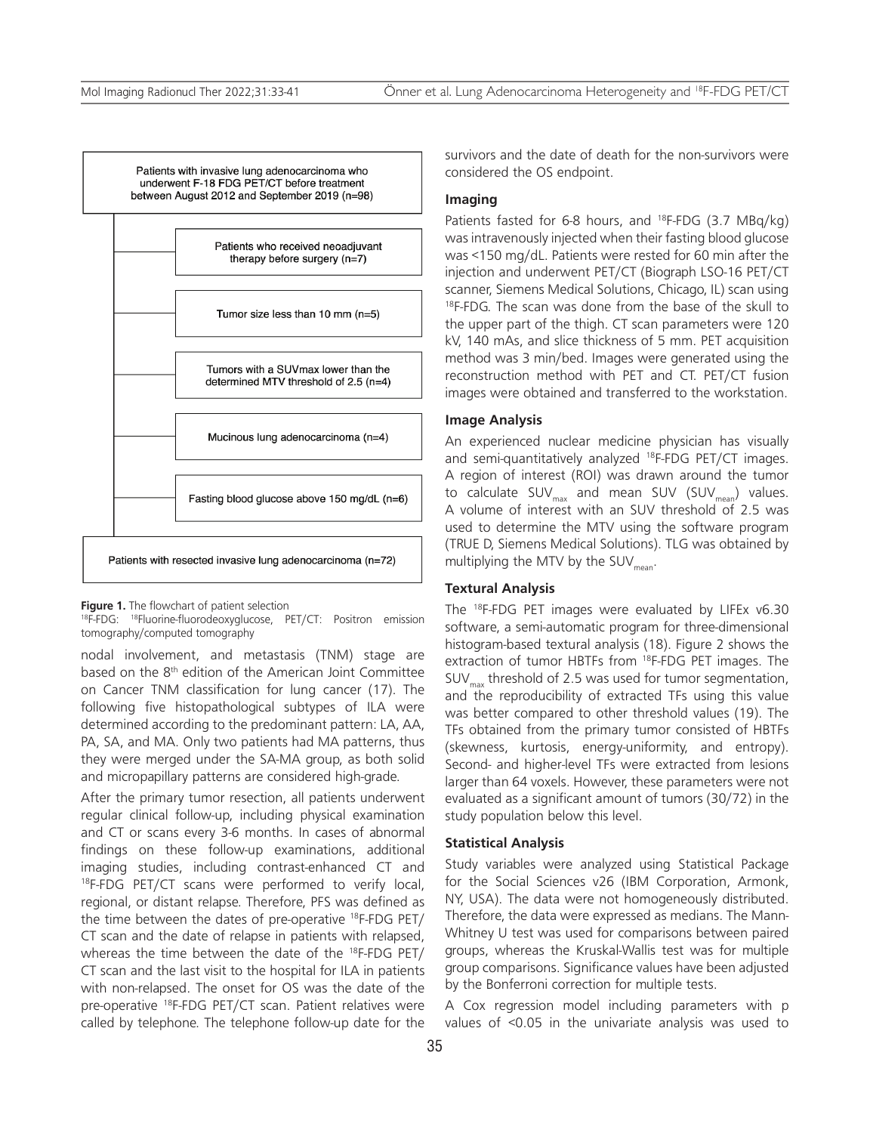Patients with invasive lung adenocarcinoma who underwent F-18 FDG PET/CT before treatment between August 2012 and September 2019 (n=98)



**Figure 1.** The flowchart of patient selection

<sup>18</sup>F-FDG: <sup>18</sup>Fluorine-fluorodeoxyglucose, PET/CT: Positron emission tomography/computed tomography

nodal involvement, and metastasis (TNM) stage are based on the 8<sup>th</sup> edition of the American Joint Committee on Cancer TNM classification for lung cancer (17). The following five histopathological subtypes of ILA were determined according to the predominant pattern: LA, AA, PA, SA, and MA. Only two patients had MA patterns, thus they were merged under the SA-MA group, as both solid and micropapillary patterns are considered high-grade.

After the primary tumor resection, all patients underwent regular clinical follow-up, including physical examination and CT or scans every 3-6 months. In cases of abnormal findings on these follow-up examinations, additional imaging studies, including contrast-enhanced CT and 18F-FDG PET/CT scans were performed to verify local, regional, or distant relapse. Therefore, PFS was defined as the time between the dates of pre-operative <sup>18</sup>F-FDG PET/ CT scan and the date of relapse in patients with relapsed, whereas the time between the date of the 18F-FDG PET/ CT scan and the last visit to the hospital for ILA in patients with non-relapsed. The onset for OS was the date of the pre-operative <sup>18</sup>F-FDG PET/CT scan. Patient relatives were called by telephone. The telephone follow-up date for the survivors and the date of death for the non-survivors were considered the OS endpoint.

## **Imaging**

Patients fasted for 6-8 hours, and <sup>18</sup>F-FDG (3.7 MBq/kg) was intravenously injected when their fasting blood glucose was <150 mg/dL. Patients were rested for 60 min after the injection and underwent PET/CT (Biograph LSO-16 PET/CT scanner, Siemens Medical Solutions, Chicago, IL) scan using <sup>18</sup>F-FDG. The scan was done from the base of the skull to the upper part of the thigh. CT scan parameters were 120 kV, 140 mAs, and slice thickness of 5 mm. PET acquisition method was 3 min/bed. Images were generated using the reconstruction method with PET and CT. PET/CT fusion images were obtained and transferred to the workstation.

#### **Image Analysis**

An experienced nuclear medicine physician has visually and semi-quantitatively analyzed 18F-FDG PET/CT images. A region of interest (ROI) was drawn around the tumor to calculate  $SUV_{max}$  and mean SUV (SUV<sub>mean</sub>) values. A volume of interest with an SUV threshold of 2.5 was used to determine the MTV using the software program (TRUE D, Siemens Medical Solutions). TLG was obtained by multiplying the MTV by the SUV $_{mean}$ .

#### **Textural Analysis**

The 18F-FDG PET images were evaluated by LIFEx v6.30 software, a semi-automatic program for three-dimensional histogram-based textural analysis (18). Figure 2 shows the extraction of tumor HBTFs from 18F-FDG PET images. The  $SUV_{\text{max}}$  threshold of 2.5 was used for tumor segmentation, and the reproducibility of extracted TFs using this value was better compared to other threshold values (19). The TFs obtained from the primary tumor consisted of HBTFs (skewness, kurtosis, energy-uniformity, and entropy). Second- and higher-level TFs were extracted from lesions larger than 64 voxels. However, these parameters were not evaluated as a significant amount of tumors (30/72) in the study population below this level.

#### **Statistical Analysis**

Study variables were analyzed using Statistical Package for the Social Sciences v26 (IBM Corporation, Armonk, NY, USA). The data were not homogeneously distributed. Therefore, the data were expressed as medians. The Mann-Whitney U test was used for comparisons between paired groups, whereas the Kruskal-Wallis test was for multiple group comparisons. Significance values have been adjusted by the Bonferroni correction for multiple tests.

A Cox regression model including parameters with p values of <0.05 in the univariate analysis was used to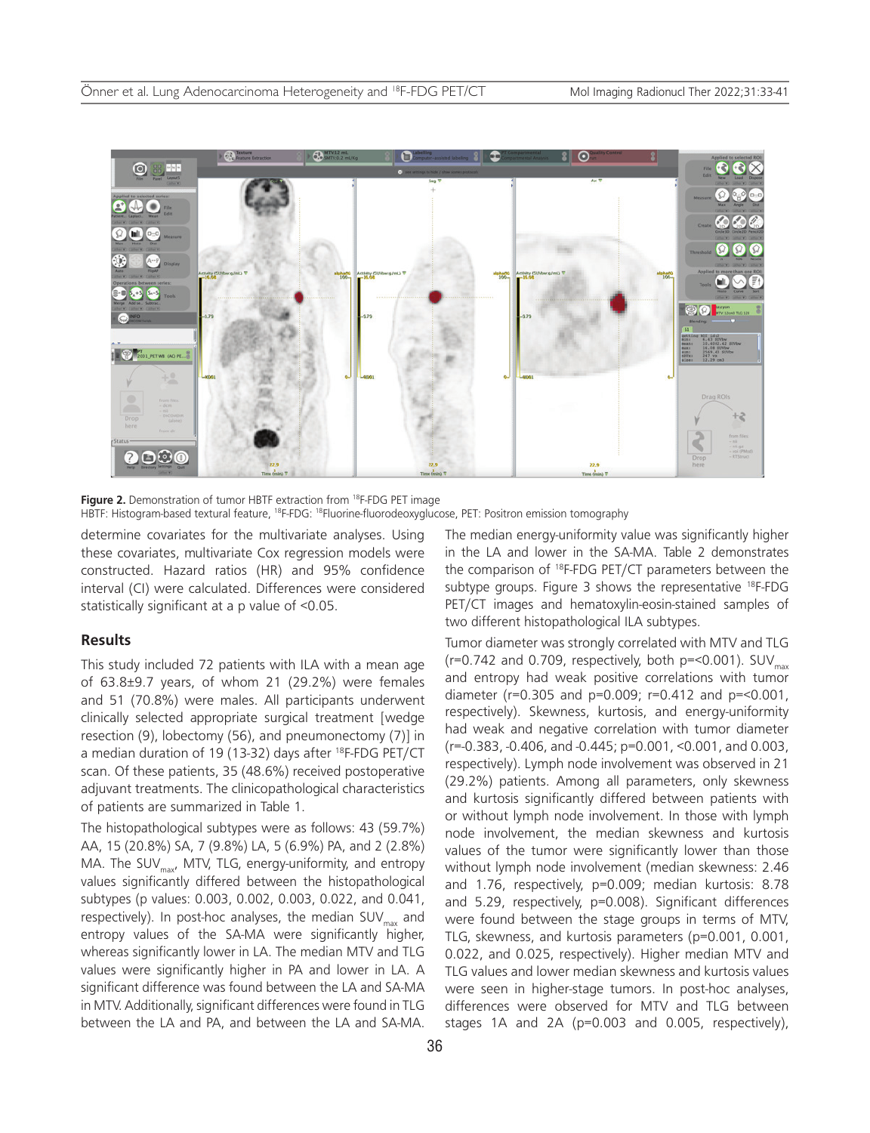

Figure 2. Demonstration of tumor HBTF extraction from <sup>18</sup>F-FDG PET image HBTF: Histogram-based textural feature, 18F-FDG: 18Fluorine-fluorodeoxyglucose, PET: Positron emission tomography

determine covariates for the multivariate analyses. Using these covariates, multivariate Cox regression models were constructed. Hazard ratios (HR) and 95% confidence interval (CI) were calculated. Differences were considered statistically significant at a p value of <0.05.

#### **Results**

This study included 72 patients with ILA with a mean age of 63.8±9.7 years, of whom 21 (29.2%) were females and 51 (70.8%) were males. All participants underwent clinically selected appropriate surgical treatment [wedge resection (9), lobectomy (56), and pneumonectomy (7)] in a median duration of 19 (13-32) days after <sup>18</sup>F-FDG PET/CT scan. Of these patients, 35 (48.6%) received postoperative adjuvant treatments. The clinicopathological characteristics of patients are summarized in Table 1.

The histopathological subtypes were as follows: 43 (59.7%) AA, 15 (20.8%) SA, 7 (9.8%) LA, 5 (6.9%) PA, and 2 (2.8%) MA. The SUV<sub>max</sub>, MTV, TLG, energy-uniformity, and entropy values significantly differed between the histopathological subtypes (p values: 0.003, 0.002, 0.003, 0.022, and 0.041, respectively). In post-hoc analyses, the median SUV<sub>max</sub> and entropy values of the SA-MA were significantly higher, whereas significantly lower in LA. The median MTV and TLG values were significantly higher in PA and lower in LA. A significant difference was found between the LA and SA-MA in MTV. Additionally, significant differences were found in TLG between the LA and PA, and between the LA and SA-MA.

The median energy-uniformity value was significantly higher in the LA and lower in the SA-MA. Table 2 demonstrates the comparison of 18F-FDG PET/CT parameters between the subtype groups. Figure 3 shows the representative <sup>18</sup>F-FDG PET/CT images and hematoxylin-eosin-stained samples of two different histopathological ILA subtypes.

Tumor diameter was strongly correlated with MTV and TLG (r=0.742 and 0.709, respectively, both p=<0.001).  $\text{SUV}_{\text{max}}$ and entropy had weak positive correlations with tumor diameter (r=0.305 and p=0.009; r=0.412 and p=<0.001, respectively). Skewness, kurtosis, and energy-uniformity had weak and negative correlation with tumor diameter (r=-0.383, -0.406, and -0.445; p=0.001, <0.001, and 0.003, respectively). Lymph node involvement was observed in 21 (29.2%) patients. Among all parameters, only skewness and kurtosis significantly differed between patients with or without lymph node involvement. In those with lymph node involvement, the median skewness and kurtosis values of the tumor were significantly lower than those without lymph node involvement (median skewness: 2.46 and 1.76, respectively, p=0.009; median kurtosis: 8.78 and 5.29, respectively, p=0.008). Significant differences were found between the stage groups in terms of MTV, TLG, skewness, and kurtosis parameters (p=0.001, 0.001, 0.022, and 0.025, respectively). Higher median MTV and TLG values and lower median skewness and kurtosis values were seen in higher-stage tumors. In post-hoc analyses, differences were observed for MTV and TLG between stages 1A and 2A (p=0.003 and 0.005, respectively),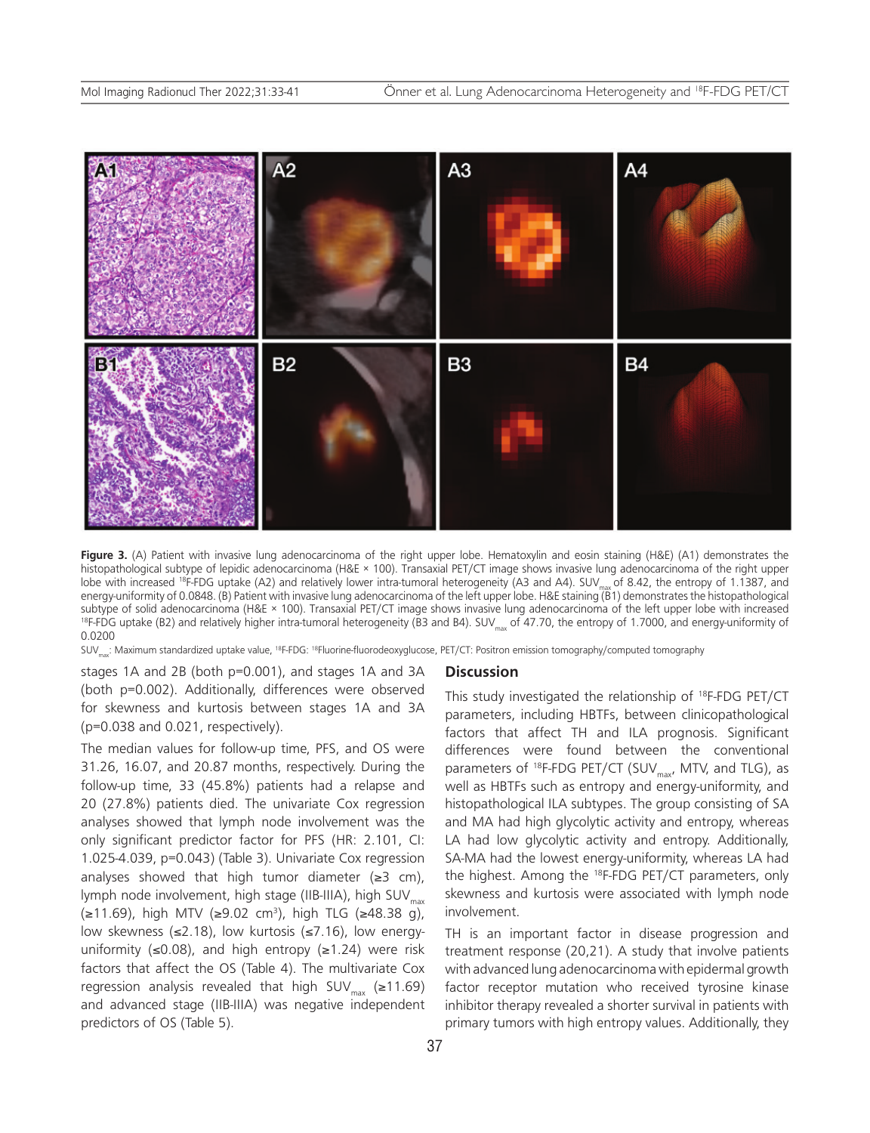

Figure 3. (A) Patient with invasive lung adenocarcinoma of the right upper lobe. Hematoxylin and eosin staining (H&E) (A1) demonstrates the histopathological subtype of lepidic adenocarcinoma (H&E × 100). Transaxial PET/CT image shows invasive lung adenocarcinoma of the right upper lobe with increased <sup>18</sup>F-FDG uptake (A2) and relatively lower intra-tumoral heterogeneity (A3 and A4). SUV<sub>max</sub> of 8.42, the entropy of 1.1387, and energy-uniformity of 0.0848. (B) Patient with invasive lung adenocarcinoma of the left upper lobe. H&E staining (B1) demonstrates the histopathological subtype of solid adenocarcinoma (H&E × 100). Transaxial PET/CT image shows invasive lung adenocarcinoma of the left upper lobe with increased  $18F-FDG$  uptake (B2) and relatively higher intra-tumoral heterogeneity (B3 and B4). SUV<sub>my</sub> of 47.70, the entropy of 1.7000, and energy-uniformity of 0.0200

SUV<sub>max</sub>: Maximum standardized uptake value, <sup>18</sup>F-FDG: <sup>18</sup>Fluorine-fluorodeoxyglucose, PET/CT: Positron emission tomography/computed tomography

stages 1A and 2B (both p=0.001), and stages 1A and 3A (both p=0.002). Additionally, differences were observed for skewness and kurtosis between stages 1A and 3A (p=0.038 and 0.021, respectively).

The median values for follow-up time, PFS, and OS were 31.26, 16.07, and 20.87 months, respectively. During the follow-up time, 33 (45.8%) patients had a relapse and 20 (27.8%) patients died. The univariate Cox regression analyses showed that lymph node involvement was the only significant predictor factor for PFS (HR: 2.101, CI: 1.025-4.039, p=0.043) (Table 3). Univariate Cox regression analyses showed that high tumor diameter  $(\geq 3 \text{ cm})$ , lymph node involvement, high stage (IIB-IIIA), high SUV<sub>mav</sub> (≥11.69), high MTV (≥9.02 cm3 ), high TLG (≥48.38 g), low skewness (≤2.18), low kurtosis (≤7.16), low energyuniformity ( $\leq 0.08$ ), and high entropy ( $\geq 1.24$ ) were risk factors that affect the OS (Table 4). The multivariate Cox regression analysis revealed that high SUV $_{max}$  (≥11.69) and advanced stage (IIB-IIIA) was negative independent predictors of OS (Table 5).

#### **Discussion**

This study investigated the relationship of 18F-FDG PET/CT parameters, including HBTFs, between clinicopathological factors that affect TH and ILA prognosis. Significant differences were found between the conventional parameters of <sup>18</sup>F-FDG PET/CT (SUV<sub>max</sub>, MTV, and TLG), as well as HBTFs such as entropy and energy-uniformity, and histopathological ILA subtypes. The group consisting of SA and MA had high glycolytic activity and entropy, whereas LA had low glycolytic activity and entropy. Additionally, SA-MA had the lowest energy-uniformity, whereas LA had the highest. Among the 18F-FDG PET/CT parameters, only skewness and kurtosis were associated with lymph node involvement.

TH is an important factor in disease progression and treatment response (20,21). A study that involve patients with advanced lung adenocarcinoma with epidermal growth factor receptor mutation who received tyrosine kinase inhibitor therapy revealed a shorter survival in patients with primary tumors with high entropy values. Additionally, they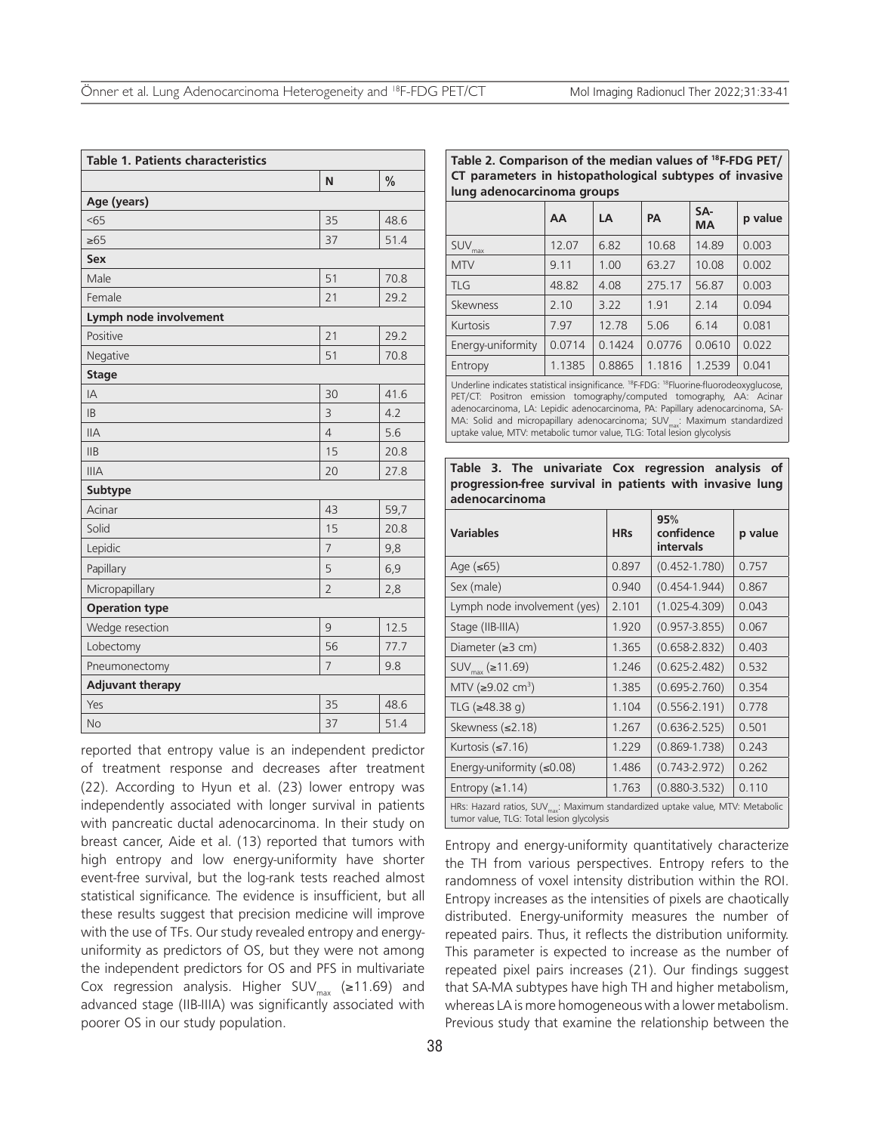| <b>Table 1. Patients characteristics</b> |                |               |  |  |  |  |
|------------------------------------------|----------------|---------------|--|--|--|--|
|                                          | N              | $\frac{0}{0}$ |  |  |  |  |
| Age (years)                              |                |               |  |  |  |  |
| 55                                       | 35             | 48.6          |  |  |  |  |
| $\geq 65$                                | 37             | 51.4          |  |  |  |  |
| <b>Sex</b>                               |                |               |  |  |  |  |
| Male                                     | 51             | 70.8          |  |  |  |  |
| Female                                   | 21             | 29.2          |  |  |  |  |
| Lymph node involvement                   |                |               |  |  |  |  |
| Positive                                 | 21             | 29.2          |  |  |  |  |
| Negative                                 | 51             | 70.8          |  |  |  |  |
| <b>Stage</b>                             |                |               |  |  |  |  |
| IA                                       | 30             | 41.6          |  |  |  |  |
| <b>IB</b>                                | 3              | 4.2           |  |  |  |  |
| <b>IIA</b>                               | $\overline{4}$ | 5.6           |  |  |  |  |
| IIB                                      | 15             | 20.8          |  |  |  |  |
| <b>IIIA</b>                              | 20             | 27.8          |  |  |  |  |
| <b>Subtype</b>                           |                |               |  |  |  |  |
| Acinar                                   | 43             | 59,7          |  |  |  |  |
| Solid                                    | 15             | 20.8          |  |  |  |  |
| Lepidic                                  | $\overline{7}$ | 9,8           |  |  |  |  |
| Papillary                                | 5              | 6,9           |  |  |  |  |
| Micropapillary                           | $\overline{2}$ | 2,8           |  |  |  |  |
| <b>Operation type</b>                    |                |               |  |  |  |  |
| Wedge resection                          | 9              | 12.5          |  |  |  |  |
| Lobectomy                                | 56             | 77.7          |  |  |  |  |
| Pneumonectomy                            | 7              | 9.8           |  |  |  |  |
| <b>Adjuvant therapy</b>                  |                |               |  |  |  |  |
| Yes                                      | 35             | 48.6          |  |  |  |  |
| <b>No</b>                                | 37             | 51.4          |  |  |  |  |

reported that entropy value is an independent predictor of treatment response and decreases after treatment (22). According to Hyun et al. (23) lower entropy was independently associated with longer survival in patients with pancreatic ductal adenocarcinoma. In their study on breast cancer, Aide et al. (13) reported that tumors with high entropy and low energy-uniformity have shorter event-free survival, but the log-rank tests reached almost statistical significance. The evidence is insufficient, but all these results suggest that precision medicine will improve with the use of TFs. Our study revealed entropy and energyuniformity as predictors of OS, but they were not among the independent predictors for OS and PFS in multivariate Cox regression analysis. Higher SUV<sub>max</sub> (≥11.69) and advanced stage (IIB-IIIA) was significantly associated with poorer OS in our study population.

**Table 2. Comparison of the median values of 18F-FDG PET/ CT parameters in histopathological subtypes of invasive lung adenocarcinoma groups**

|                   | AA     | LA     | <b>PA</b> | SA-<br><b>MA</b> | p value |
|-------------------|--------|--------|-----------|------------------|---------|
| $SUV_{max}$       | 12.07  | 6.82   | 10.68     |                  | 0.003   |
| <b>MTV</b>        | 9.11   | 1.00   | 63.27     | 10.08            | 0.002   |
| TLG               | 48.82  | 4.08   | 275.17    | 56.87            | 0.003   |
| Skewness          | 2.10   | 3.22   | 1.91      | 2.14             | 0.094   |
| Kurtosis          | 7.97   | 12.78  | 5.06      | 6.14             | 0.081   |
| Energy-uniformity | 0.0714 | 0.1424 | 0.0776    | 0.0610           | 0.022   |
| Entropy           | 1.1385 | 0.8865 | 1.1816    | 1.2539           | 0.041   |

Underline indicates statistical insignificance. 18F-FDG: 18Fluorine-fluorodeoxyglucose, PET/CT: Positron emission tomography/computed tomography, AA: Acinar adenocarcinoma, LA: Lepidic adenocarcinoma, PA: Papillary adenocarcinoma, SA-MA: Solid and micropapillary adenocarcinoma; SUV<sub>max</sub>: Maximum standardized uptake value, MTV: metabolic tumor value, TLG: Total lesion glycolysis

**Table 3. The univariate Cox regression analysis of progression-free survival in patients with invasive lung adenocarcinoma**

| <b>Variables</b>                                                                                                                        | <b>HRs</b> | 95%<br>confidence<br>intervals | p value |  |
|-----------------------------------------------------------------------------------------------------------------------------------------|------------|--------------------------------|---------|--|
| Age $(\leq 65)$                                                                                                                         | 0.897      | $(0.452 - 1.780)$              | 0.757   |  |
| Sex (male)                                                                                                                              | 0.940      | $(0.454 - 1.944)$              | 0.867   |  |
| Lymph node involvement (yes)                                                                                                            | 2.101      | $(1.025 - 4.309)$              | 0.043   |  |
| Stage (IIB-IIIA)                                                                                                                        | 1.920      | $(0.957 - 3.855)$              | 0.067   |  |
| Diameter $( \geq 3 cm)$                                                                                                                 | 1.365      | $(0.658 - 2.832)$              | 0.403   |  |
| SUV <sub>max</sub> (≥11.69)                                                                                                             | 1.246      | $(0.625 - 2.482)$              | 0.532   |  |
| MTV (≥9.02 cm <sup>3</sup> )                                                                                                            | 1.385      | $(0.695 - 2.760)$              | 0.354   |  |
| TLG (≥48.38 g)                                                                                                                          | 1.104      | $(0.556 - 2.191)$              | 0.778   |  |
| Skewness (≤2.18)                                                                                                                        | 1.267      | $(0.636 - 2.525)$              | 0.501   |  |
| Kurtosis $(\leq 7.16)$                                                                                                                  | 1.229      | $(0.869 - 1.738)$              | 0.243   |  |
| Energy-uniformity $(\leq 0.08)$                                                                                                         | 1.486      | $(0.743 - 2.972)$              | 0.262   |  |
| Entropy $(\ge 1.14)$                                                                                                                    | 1.763      | $(0.880 - 3.532)$              | 0.110   |  |
| HRs: Hazard ratios, SUV <sub>max</sub> : Maximum standardized uptake value, MTV: Metabolic<br>tumor value, TLG: Total lesion glycolysis |            |                                |         |  |

Entropy and energy-uniformity quantitatively characterize the TH from various perspectives. Entropy refers to the randomness of voxel intensity distribution within the ROI. Entropy increases as the intensities of pixels are chaotically distributed. Energy-uniformity measures the number of repeated pairs. Thus, it reflects the distribution uniformity. This parameter is expected to increase as the number of repeated pixel pairs increases (21). Our findings suggest that SA-MA subtypes have high TH and higher metabolism, whereas LA is more homogeneous with a lower metabolism. Previous study that examine the relationship between the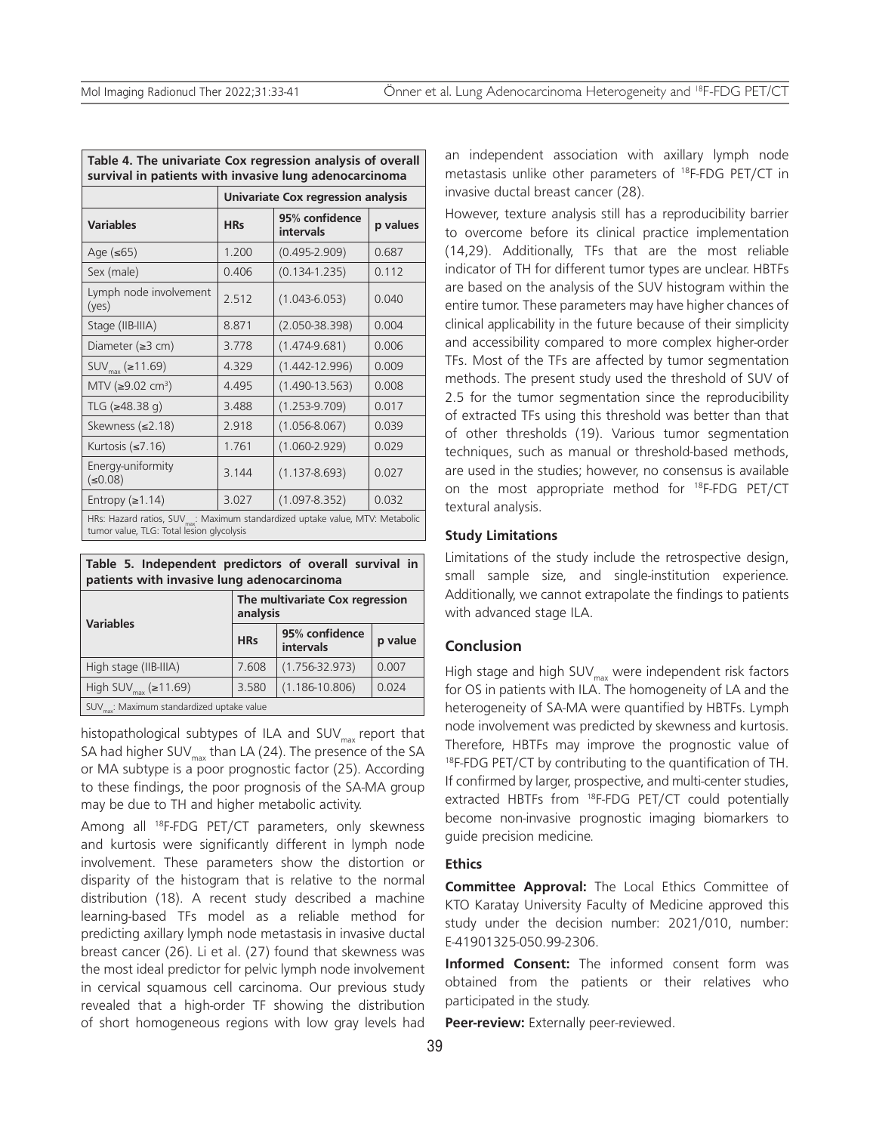| Table 4. The univariate Cox regression analysis of overall<br>survival in patients with invasive lung adenocarcinoma |                                    |                             |          |  |  |
|----------------------------------------------------------------------------------------------------------------------|------------------------------------|-----------------------------|----------|--|--|
|                                                                                                                      | Univariate Cox regression analysis |                             |          |  |  |
| <b>Variables</b>                                                                                                     | <b>HRs</b>                         | 95% confidence<br>intervals | p values |  |  |
| Age $(\leq 65)$                                                                                                      | 1.200                              | $(0.495 - 2.909)$           | 0.687    |  |  |
| Sex (male)                                                                                                           | 0.406                              | $(0.134 - 1.235)$           | 0.112    |  |  |
| Lymph node involvement<br>(yes)                                                                                      | 2.512                              | $(1.043 - 6.053)$           | 0.040    |  |  |
| Stage (IIB-IIIA)                                                                                                     | 8.871                              | $(2.050 - 38.398)$          | 0.004    |  |  |
| Diameter ( $\geq$ 3 cm)                                                                                              | 3.778                              | $(1.474 - 9.681)$           | 0.006    |  |  |
| $SUV_{max}$ (≥11.69)                                                                                                 | 4.329                              | $(1.442 - 12.996)$          | 0.009    |  |  |
| MTV (≥9.02 cm <sup>3</sup> )                                                                                         | 4.495                              | $(1.490 - 13.563)$          | 0.008    |  |  |
| TLG (≥48.38 q)                                                                                                       | 3.488                              | $(1.253 - 9.709)$           | 0.017    |  |  |
| Skewness (≤2.18)                                                                                                     | 2.918                              | $(1.056 - 8.067)$           | 0.039    |  |  |
| Kurtosis $(\leq 7.16)$                                                                                               | 1.761                              | $(1.060 - 2.929)$           | 0.029    |  |  |
| Energy-uniformity<br>(50.08)                                                                                         | 3.144                              | $(1.137 - 8.693)$           | 0.027    |  |  |
| Entropy $(\ge 1.14)$                                                                                                 | 3.027                              | $(1.097 - 8.352)$           | 0.032    |  |  |
| HRs: Hazard ratios, SUV <sub>max</sub> : Maximum standardized uptake value, MTV: Metabolic                           |                                    |                             |          |  |  |

tumor value, TLG: Total lesion glycolysis

|  | Table 5. Independent predictors of overall survival in |  |  |  |
|--|--------------------------------------------------------|--|--|--|
|  | patients with invasive lung adenocarcinoma             |  |  |  |

| <b>Variables</b>                                       | The multivariate Cox regression<br>analysis |                             |         |  |
|--------------------------------------------------------|---------------------------------------------|-----------------------------|---------|--|
|                                                        | <b>HRs</b>                                  | 95% confidence<br>intervals | p value |  |
| High stage (IIB-IIIA)                                  | 7.608                                       | $(1.756 - 32.973)$          | 0.007   |  |
| High SUV $_{max}$ ( $\ge$ 11.69)                       | 3.580                                       | $(1.186 - 10.806)$          | 0.024   |  |
| SUV <sub>max</sub> : Maximum standardized uptake value |                                             |                             |         |  |

histopathological subtypes of ILA and SUV<sub>max</sub> report that SA had higher SUV $_{\text{max}}$  than LA (24). The presence of the SA or MA subtype is a poor prognostic factor (25). According to these findings, the poor prognosis of the SA-MA group may be due to TH and higher metabolic activity.

Among all 18F-FDG PET/CT parameters, only skewness and kurtosis were significantly different in lymph node involvement. These parameters show the distortion or disparity of the histogram that is relative to the normal distribution (18). A recent study described a machine learning-based TFs model as a reliable method for predicting axillary lymph node metastasis in invasive ductal breast cancer (26). Li et al. (27) found that skewness was the most ideal predictor for pelvic lymph node involvement in cervical squamous cell carcinoma. Our previous study revealed that a high-order TF showing the distribution of short homogeneous regions with low gray levels had

an independent association with axillary lymph node metastasis unlike other parameters of 18F-FDG PET/CT in invasive ductal breast cancer (28).

However, texture analysis still has a reproducibility barrier to overcome before its clinical practice implementation (14,29). Additionally, TFs that are the most reliable indicator of TH for different tumor types are unclear. HBTFs are based on the analysis of the SUV histogram within the entire tumor. These parameters may have higher chances of clinical applicability in the future because of their simplicity and accessibility compared to more complex higher-order TFs. Most of the TFs are affected by tumor segmentation methods. The present study used the threshold of SUV of 2.5 for the tumor segmentation since the reproducibility of extracted TFs using this threshold was better than that of other thresholds (19). Various tumor segmentation techniques, such as manual or threshold-based methods, are used in the studies; however, no consensus is available on the most appropriate method for 18F-FDG PET/CT textural analysis.

#### **Study Limitations**

Limitations of the study include the retrospective design, small sample size, and single-institution experience. Additionally, we cannot extrapolate the findings to patients with advanced stage ILA.

## **Conclusion**

High stage and high SUV $_{\text{max}}$  were independent risk factors for OS in patients with ILA. The homogeneity of LA and the heterogeneity of SA-MA were quantified by HBTFs. Lymph node involvement was predicted by skewness and kurtosis. Therefore, HBTFs may improve the prognostic value of 18F-FDG PET/CT by contributing to the quantification of TH. If confirmed by larger, prospective, and multi-center studies, extracted HBTFs from 18F-FDG PET/CT could potentially become non-invasive prognostic imaging biomarkers to guide precision medicine.

#### **Ethics**

**Committee Approval:** The Local Ethics Committee of KTO Karatay University Faculty of Medicine approved this study under the decision number: 2021/010, number: E-41901325-050.99-2306.

**Informed Consent:** The informed consent form was obtained from the patients or their relatives who participated in the study.

**Peer-review:** Externally peer-reviewed.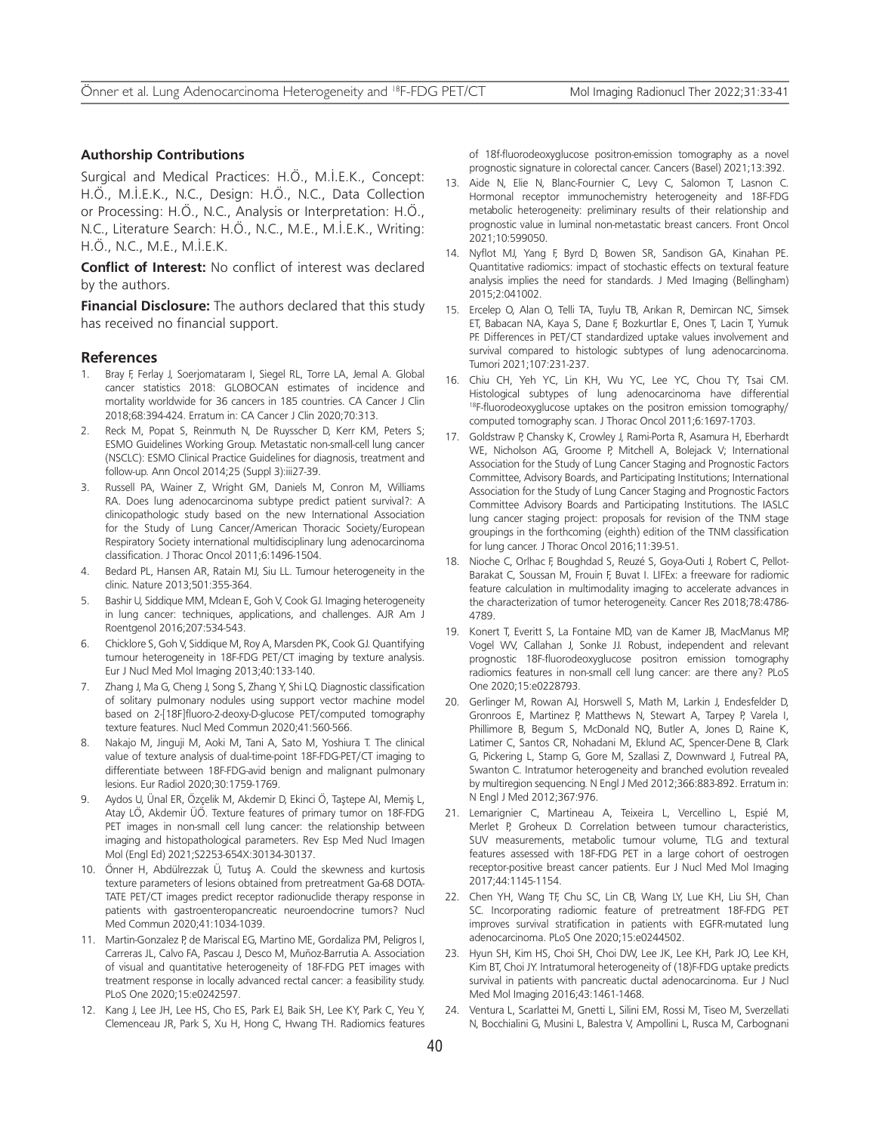#### **Authorship Contributions**

Surgical and Medical Practices: H.Ö., M.İ.E.K., Concept: H.Ö., M.İ.E.K., N.C., Design: H.Ö., N.C., Data Collection or Processing: H.Ö., N.C., Analysis or Interpretation: H.Ö., N.C., Literature Search: H.Ö., N.C., M.E., M.İ.E.K., Writing: H.Ö., N.C., M.E., M.İ.E.K.

**Conflict of Interest:** No conflict of interest was declared by the authors.

**Financial Disclosure:** The authors declared that this study has received no financial support.

#### **References**

- 1. Bray F, Ferlay J, Soerjomataram I, Siegel RL, Torre LA, Jemal A. Global cancer statistics 2018: GLOBOCAN estimates of incidence and mortality worldwide for 36 cancers in 185 countries. CA Cancer J Clin 2018;68:394-424. Erratum in: CA Cancer J Clin 2020;70:313.
- 2. Reck M, Popat S, Reinmuth N, De Ruysscher D, Kerr KM, Peters S; ESMO Guidelines Working Group. Metastatic non-small-cell lung cancer (NSCLC): ESMO Clinical Practice Guidelines for diagnosis, treatment and follow-up. Ann Oncol 2014;25 (Suppl 3):iii27-39.
- 3. Russell PA, Wainer Z, Wright GM, Daniels M, Conron M, Williams RA. Does lung adenocarcinoma subtype predict patient survival?: A clinicopathologic study based on the new International Association for the Study of Lung Cancer/American Thoracic Society/European Respiratory Society international multidisciplinary lung adenocarcinoma classification. J Thorac Oncol 2011;6:1496-1504.
- 4. Bedard PL, Hansen AR, Ratain MJ, Siu LL. Tumour heterogeneity in the clinic. Nature 2013;501:355-364.
- 5. Bashir U, Siddique MM, Mclean E, Goh V, Cook GJ. Imaging heterogeneity in lung cancer: techniques, applications, and challenges. AJR Am J Roentgenol 2016;207:534-543.
- 6. Chicklore S, Goh V, Siddique M, Roy A, Marsden PK, Cook GJ. Quantifying tumour heterogeneity in 18F-FDG PET/CT imaging by texture analysis. Eur J Nucl Med Mol Imaging 2013;40:133-140.
- 7. Zhang J, Ma G, Cheng J, Song S, Zhang Y, Shi LQ. Diagnostic classification of solitary pulmonary nodules using support vector machine model based on 2-[18F]fluoro-2-deoxy-D-glucose PET/computed tomography texture features. Nucl Med Commun 2020;41:560-566.
- 8. Nakajo M, Jinguji M, Aoki M, Tani A, Sato M, Yoshiura T. The clinical value of texture analysis of dual-time-point 18F-FDG-PET/CT imaging to differentiate between 18F-FDG-avid benign and malignant pulmonary lesions. Eur Radiol 2020;30:1759-1769.
- 9. Aydos U, Ünal ER, Özçelik M, Akdemir D, Ekinci Ö, Taştepe AI, Memiş L, Atay LÖ, Akdemir ÜÖ. Texture features of primary tumor on 18F-FDG PET images in non-small cell lung cancer: the relationship between imaging and histopathological parameters. Rev Esp Med Nucl Imagen Mol (Engl Ed) 2021;S2253-654X:30134-30137.
- 10. Önner H, Abdülrezzak Ü, Tutuş A. Could the skewness and kurtosis texture parameters of lesions obtained from pretreatment Ga-68 DOTA-TATE PET/CT images predict receptor radionuclide therapy response in patients with gastroenteropancreatic neuroendocrine tumors? Nucl Med Commun 2020;41:1034-1039.
- 11. Martin-Gonzalez P, de Mariscal EG, Martino ME, Gordaliza PM, Peligros I, Carreras JL, Calvo FA, Pascau J, Desco M, Muñoz-Barrutia A. Association of visual and quantitative heterogeneity of 18F-FDG PET images with treatment response in locally advanced rectal cancer: a feasibility study. PLoS One 2020;15:e0242597.
- 12. Kang J, Lee JH, Lee HS, Cho ES, Park EJ, Baik SH, Lee KY, Park C, Yeu Y, Clemenceau JR, Park S, Xu H, Hong C, Hwang TH. Radiomics features

of 18f-fluorodeoxyglucose positron-emission tomography as a novel prognostic signature in colorectal cancer. Cancers (Basel) 2021;13:392.

- 13. Aide N, Elie N, Blanc-Fournier C, Levy C, Salomon T, Lasnon C. Hormonal receptor immunochemistry heterogeneity and 18F-FDG metabolic heterogeneity: preliminary results of their relationship and prognostic value in luminal non-metastatic breast cancers. Front Oncol 2021;10:599050.
- 14. Nyflot MJ, Yang F, Byrd D, Bowen SR, Sandison GA, Kinahan PE. Quantitative radiomics: impact of stochastic effects on textural feature analysis implies the need for standards. J Med Imaging (Bellingham) 2015;2:041002.
- 15. Ercelep O, Alan O, Telli TA, Tuylu TB, Arıkan R, Demircan NC, Simsek ET, Babacan NA, Kaya S, Dane F, Bozkurtlar E, Ones T, Lacin T, Yumuk PF. Differences in PET/CT standardized uptake values involvement and survival compared to histologic subtypes of lung adenocarcinoma. Tumori 2021;107:231-237.
- 16. Chiu CH, Yeh YC, Lin KH, Wu YC, Lee YC, Chou TY, Tsai CM. Histological subtypes of lung adenocarcinoma have differential 18F-fluorodeoxyglucose uptakes on the positron emission tomography/ computed tomography scan. J Thorac Oncol 2011;6:1697-1703.
- 17. Goldstraw P, Chansky K, Crowley J, Rami-Porta R, Asamura H, Eberhardt WE, Nicholson AG, Groome P, Mitchell A, Bolejack V; International Association for the Study of Lung Cancer Staging and Prognostic Factors Committee, Advisory Boards, and Participating Institutions; International Association for the Study of Lung Cancer Staging and Prognostic Factors Committee Advisory Boards and Participating Institutions. The IASLC lung cancer staging project: proposals for revision of the TNM stage groupings in the forthcoming (eighth) edition of the TNM classification for lung cancer. J Thorac Oncol 2016;11:39-51.
- 18. Nioche C, Orlhac F, Boughdad S, Reuzé S, Goya-Outi J, Robert C, Pellot-Barakat C, Soussan M, Frouin F, Buvat I. LIFEx: a freeware for radiomic feature calculation in multimodality imaging to accelerate advances in the characterization of tumor heterogeneity. Cancer Res 2018;78:4786- 4789.
- 19. Konert T, Everitt S, La Fontaine MD, van de Kamer JB, MacManus MP, Vogel WV, Callahan J, Sonke JJ. Robust, independent and relevant prognostic 18F-fluorodeoxyglucose positron emission tomography radiomics features in non-small cell lung cancer: are there any? PLoS One 2020;15:e0228793.
- 20. Gerlinger M, Rowan AJ, Horswell S, Math M, Larkin J, Endesfelder D, Gronroos E, Martinez P, Matthews N, Stewart A, Tarpey P, Varela I, Phillimore B, Begum S, McDonald NQ, Butler A, Jones D, Raine K, Latimer C, Santos CR, Nohadani M, Eklund AC, Spencer-Dene B, Clark G, Pickering L, Stamp G, Gore M, Szallasi Z, Downward J, Futreal PA, Swanton C. Intratumor heterogeneity and branched evolution revealed by multiregion sequencing. N Engl J Med 2012;366:883-892. Erratum in: N Engl J Med 2012;367:976.
- 21. Lemarignier C, Martineau A, Teixeira L, Vercellino L, Espié M, Merlet P, Groheux D. Correlation between tumour characteristics, SUV measurements, metabolic tumour volume, TLG and textural features assessed with 18F-FDG PET in a large cohort of oestrogen receptor-positive breast cancer patients. Eur J Nucl Med Mol Imaging 2017;44:1145-1154.
- 22. Chen YH, Wang TF, Chu SC, Lin CB, Wang LY, Lue KH, Liu SH, Chan SC. Incorporating radiomic feature of pretreatment 18F-FDG PET improves survival stratification in patients with EGFR-mutated lung adenocarcinoma. PLoS One 2020;15:e0244502.
- 23. Hyun SH, Kim HS, Choi SH, Choi DW, Lee JK, Lee KH, Park JO, Lee KH, Kim BT, Choi JY. Intratumoral heterogeneity of (18)F-FDG uptake predicts survival in patients with pancreatic ductal adenocarcinoma. Eur J Nucl Med Mol Imaging 2016;43:1461-1468.
- 24. Ventura L, Scarlattei M, Gnetti L, Silini EM, Rossi M, Tiseo M, Sverzellati N, Bocchialini G, Musini L, Balestra V, Ampollini L, Rusca M, Carbognani